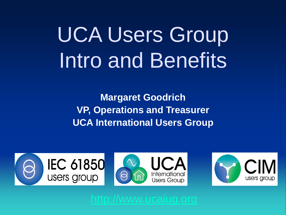### UCA Users Group Intro and Benefits

**Margaret Goodrich VP, Operations and Treasurer UCA International Users Group**

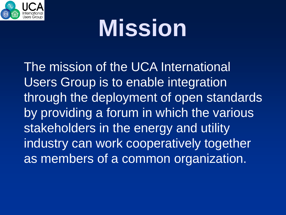

## **Mission**

The mission of the UCA International Users Group is to enable integration through the deployment of open standards by providing a forum in which the various stakeholders in the energy and utility industry can work cooperatively together as members of a common organization.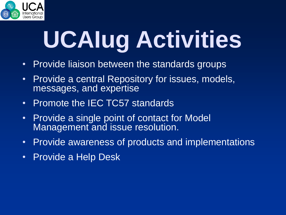

# **UCAIug Activities**

- Provide liaison between the standards groups
- Provide a central Repository for issues, models, messages, and expertise
- Promote the IEC TC57 standards
- Provide a single point of contact for Model Management and issue resolution.
- Provide awareness of products and implementations
- Provide a Help Desk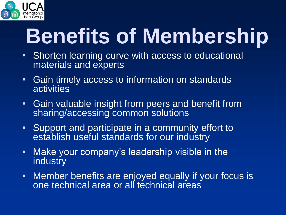

### **Benefits of Membership**

- Shorten learning curve with access to educational materials and experts
- Gain timely access to information on standards activities
- Gain valuable insight from peers and benefit from sharing/accessing common solutions
- Support and participate in a community effort to establish useful standards for our industry
- Make your company's leadership visible in the industry
- Member benefits are enjoyed equally if your focus is one technical area or all technical areas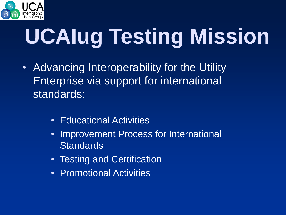

# **UCAIug Testing Mission**

- Advancing Interoperability for the Utility Enterprise via support for international standards:
	- Educational Activities
	- Improvement Process for International **Standards**
	- Testing and Certification
	- Promotional Activities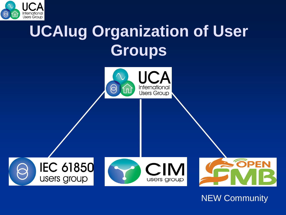

### **UCAIug Organization of User Groups**

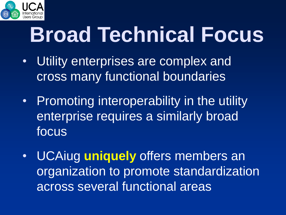

### **Broad Technical Focus**

- Utility enterprises are complex and cross many functional boundaries
- Promoting interoperability in the utility enterprise requires a similarly broad focus
- UCAiug **uniquely** offers members an organization to promote standardization across several functional areas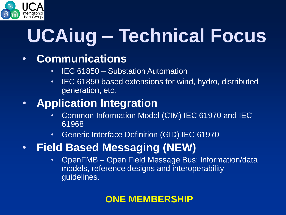

### **UCAiug – Technical Focus**

#### • **Communications**

- IEC 61850 Substation Automation
- IEC 61850 based extensions for wind, hydro, distributed generation, etc.

#### • **Application Integration**

- Common Information Model (CIM) IEC 61970 and IEC 61968
- Generic Interface Definition (GID) IEC 61970
- **Field Based Messaging (NEW)**
	- OpenFMB Open Field Message Bus: Information/data models, reference designs and interoperability guidelines.

#### **ONE MEMBERSHIP**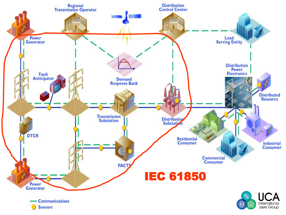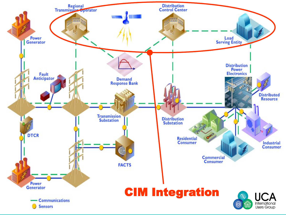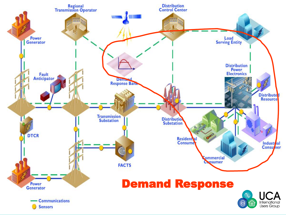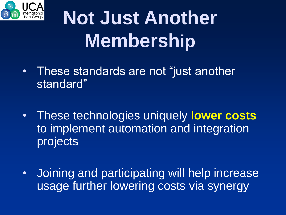

### **Not Just Another Membership**

- These standards are not "just another standard"
- These technologies uniquely **lower costs** to implement automation and integration projects
- Joining and participating will help increase usage further lowering costs via synergy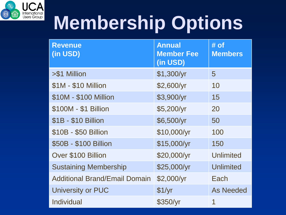

### **Membership Options**

| <b>Revenue</b><br>(in USD)           | <b>Annual</b><br><b>Member Fee</b><br>(in USD) | $#$ of<br><b>Members</b> |
|--------------------------------------|------------------------------------------------|--------------------------|
| >\$1 Million                         | \$1,300/yr                                     | 5                        |
| \$1M - \$10 Million                  | \$2,600/yr                                     | 10                       |
| \$10M - \$100 Million                | \$3,900/yr                                     | 15                       |
| \$100M - \$1 Billion                 | \$5,200/yr                                     | 20                       |
| \$1B - \$10 Billion                  | \$6,500/yr                                     | 50                       |
| \$10B - \$50 Billion                 | \$10,000/yr                                    | 100                      |
| \$50B - \$100 Billion                | \$15,000/yr                                    | 150                      |
| Over \$100 Billion                   | \$20,000/yr                                    | <b>Unlimited</b>         |
| <b>Sustaining Membership</b>         | \$25,000/yr                                    | <b>Unlimited</b>         |
| <b>Additional Brand/Email Domain</b> | \$2,000/yr                                     | Each                     |
| University or PUC                    | \$1/yr                                         | <b>As Needed</b>         |
| Individual                           | \$350/yr                                       | 1                        |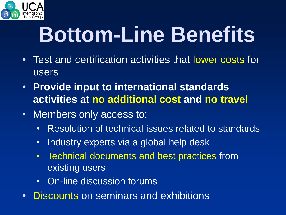

### **Bottom-Line Benefits**

- Test and certification activities that lower costs for users
- **Provide input to international standards activities at no additional cost and no travel**
- Members only access to:
	- Resolution of technical issues related to standards
	- Industry experts via a global help desk
	- Technical documents and best practices from existing users
	- On-line discussion forums
- Discounts on seminars and exhibitions